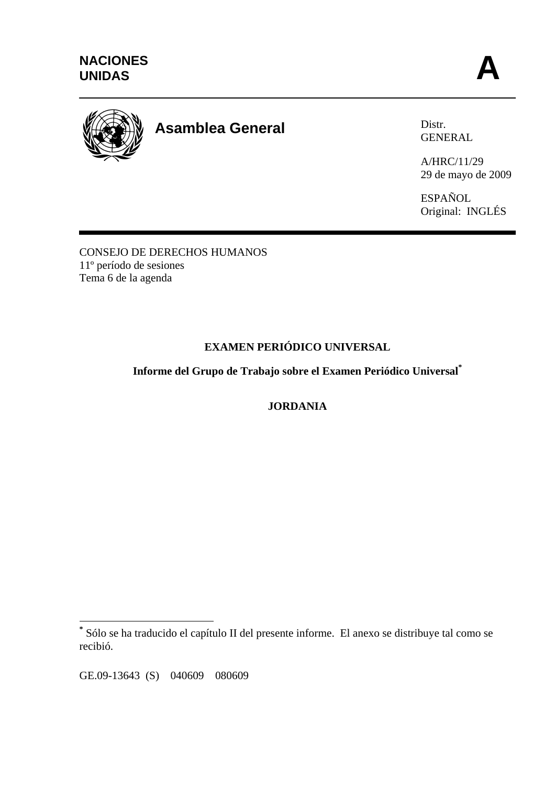

# **Asamblea General**

Distr. GENERAL

A/HRC/11/29 29 de mayo de 2009

ESPAÑOL Original: INGLÉS

CONSEJO DE DERECHOS HUMANOS 11º período de sesiones Tema 6 de la agenda

# **EXAMEN PERIÓDICO UNIVERSAL**

**Informe del Grupo de Trabajo sobre el Examen Periódico Universal\***

**JORDANIA**

GE.09-13643 (S) 040609 080609

 **\*** Sólo se ha traducido el capítulo II del presente informe. El anexo se distribuye tal como se recibió.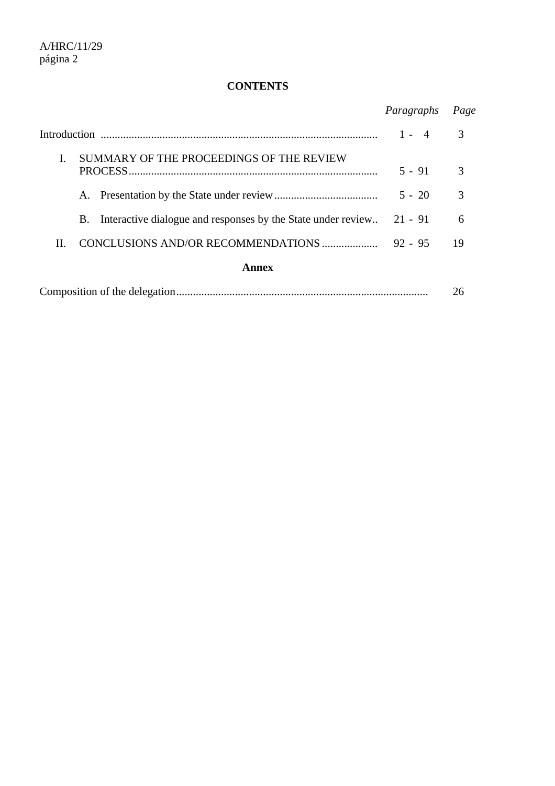# **CONTENTS**

|                                                                    | Paragraphs              | Page |
|--------------------------------------------------------------------|-------------------------|------|
|                                                                    | $1 -$<br>$\overline{4}$ | 3    |
| SUMMARY OF THE PROCEEDINGS OF THE REVIEW                           | $5 - 91$                | 3    |
| Α.                                                                 | $5 - 20$                | 3    |
| Interactive dialogue and responses by the State under review<br>B. | $21 - 91$               | 6    |
| CONCLUSIONS AND/OR RECOMMENDATIONS<br>H.                           | $92 - 95$               | 19   |
| Annex                                                              |                         |      |
|                                                                    |                         | 26   |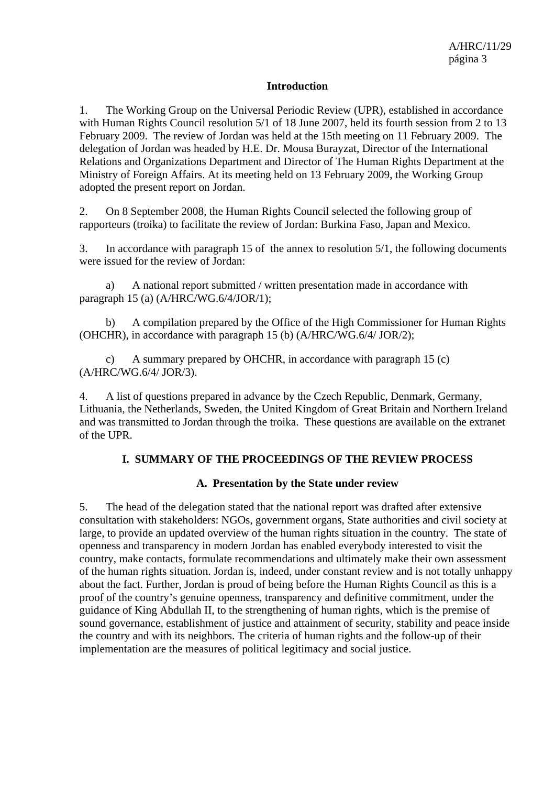#### **Introduction**

1. The Working Group on the Universal Periodic Review (UPR), established in accordance with Human Rights Council resolution 5/1 of 18 June 2007, held its fourth session from 2 to 13 February 2009. The review of Jordan was held at the 15th meeting on 11 February 2009. The delegation of Jordan was headed by H.E. Dr. Mousa Burayzat, Director of the International Relations and Organizations Department and Director of The Human Rights Department at the Ministry of Foreign Affairs. At its meeting held on 13 February 2009, the Working Group adopted the present report on Jordan.

2. On 8 September 2008, the Human Rights Council selected the following group of rapporteurs (troika) to facilitate the review of Jordan: Burkina Faso, Japan and Mexico.

3. In accordance with paragraph 15 of the annex to resolution 5/1, the following documents were issued for the review of Jordan:

a) A national report submitted / written presentation made in accordance with paragraph 15 (a) (A/HRC/WG.6/4/JOR/1);

b) A compilation prepared by the Office of the High Commissioner for Human Rights (OHCHR), in accordance with paragraph 15 (b) (A/HRC/WG.6/4/ JOR/2);

c) A summary prepared by OHCHR, in accordance with paragraph 15 (c) (A/HRC/WG.6/4/ JOR/3).

4. A list of questions prepared in advance by the Czech Republic, Denmark, Germany, Lithuania, the Netherlands, Sweden, the United Kingdom of Great Britain and Northern Ireland and was transmitted to Jordan through the troika. These questions are available on the extranet of the UPR.

#### **I. SUMMARY OF THE PROCEEDINGS OF THE REVIEW PROCESS**

#### **A. Presentation by the State under review**

5. The head of the delegation stated that the national report was drafted after extensive consultation with stakeholders: NGOs, government organs, State authorities and civil society at large, to provide an updated overview of the human rights situation in the country. The state of openness and transparency in modern Jordan has enabled everybody interested to visit the country, make contacts, formulate recommendations and ultimately make their own assessment of the human rights situation. Jordan is, indeed, under constant review and is not totally unhappy about the fact. Further, Jordan is proud of being before the Human Rights Council as this is a proof of the country's genuine openness, transparency and definitive commitment, under the guidance of King Abdullah II, to the strengthening of human rights, which is the premise of sound governance, establishment of justice and attainment of security, stability and peace inside the country and with its neighbors. The criteria of human rights and the follow-up of their implementation are the measures of political legitimacy and social justice.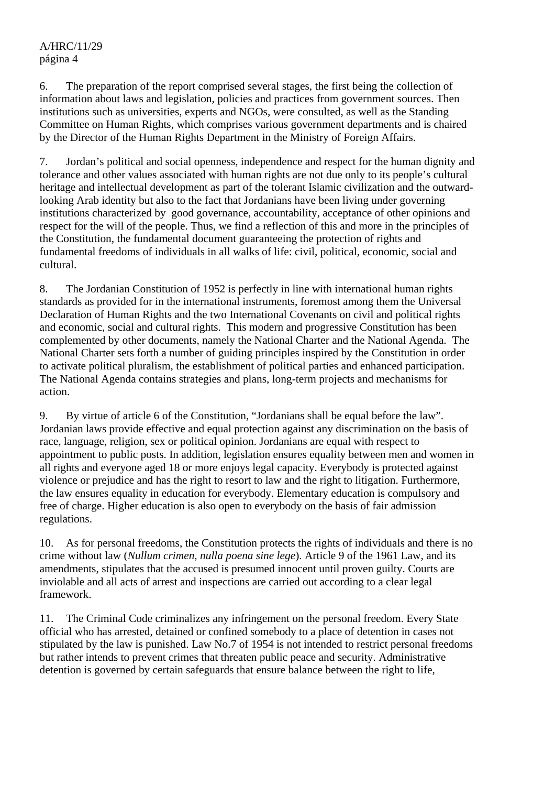6. The preparation of the report comprised several stages, the first being the collection of information about laws and legislation, policies and practices from government sources. Then institutions such as universities, experts and NGOs, were consulted, as well as the Standing Committee on Human Rights, which comprises various government departments and is chaired by the Director of the Human Rights Department in the Ministry of Foreign Affairs.

7. Jordan's political and social openness, independence and respect for the human dignity and tolerance and other values associated with human rights are not due only to its people's cultural heritage and intellectual development as part of the tolerant Islamic civilization and the outwardlooking Arab identity but also to the fact that Jordanians have been living under governing institutions characterized by good governance, accountability, acceptance of other opinions and respect for the will of the people. Thus, we find a reflection of this and more in the principles of the Constitution, the fundamental document guaranteeing the protection of rights and fundamental freedoms of individuals in all walks of life: civil, political, economic, social and cultural.

8. The Jordanian Constitution of 1952 is perfectly in line with international human rights standards as provided for in the international instruments, foremost among them the Universal Declaration of Human Rights and the two International Covenants on civil and political rights and economic, social and cultural rights. This modern and progressive Constitution has been complemented by other documents, namely the National Charter and the National Agenda. The National Charter sets forth a number of guiding principles inspired by the Constitution in order to activate political pluralism, the establishment of political parties and enhanced participation. The National Agenda contains strategies and plans, long-term projects and mechanisms for action.

9. By virtue of article 6 of the Constitution, "Jordanians shall be equal before the law". Jordanian laws provide effective and equal protection against any discrimination on the basis of race, language, religion, sex or political opinion. Jordanians are equal with respect to appointment to public posts. In addition, legislation ensures equality between men and women in all rights and everyone aged 18 or more enjoys legal capacity. Everybody is protected against violence or prejudice and has the right to resort to law and the right to litigation. Furthermore, the law ensures equality in education for everybody. Elementary education is compulsory and free of charge. Higher education is also open to everybody on the basis of fair admission regulations.

10. As for personal freedoms, the Constitution protects the rights of individuals and there is no crime without law (*Nullum crimen, nulla poena sine lege*). Article 9 of the 1961 Law, and its amendments, stipulates that the accused is presumed innocent until proven guilty. Courts are inviolable and all acts of arrest and inspections are carried out according to a clear legal framework.

11. The Criminal Code criminalizes any infringement on the personal freedom. Every State official who has arrested, detained or confined somebody to a place of detention in cases not stipulated by the law is punished. Law No.7 of 1954 is not intended to restrict personal freedoms but rather intends to prevent crimes that threaten public peace and security. Administrative detention is governed by certain safeguards that ensure balance between the right to life,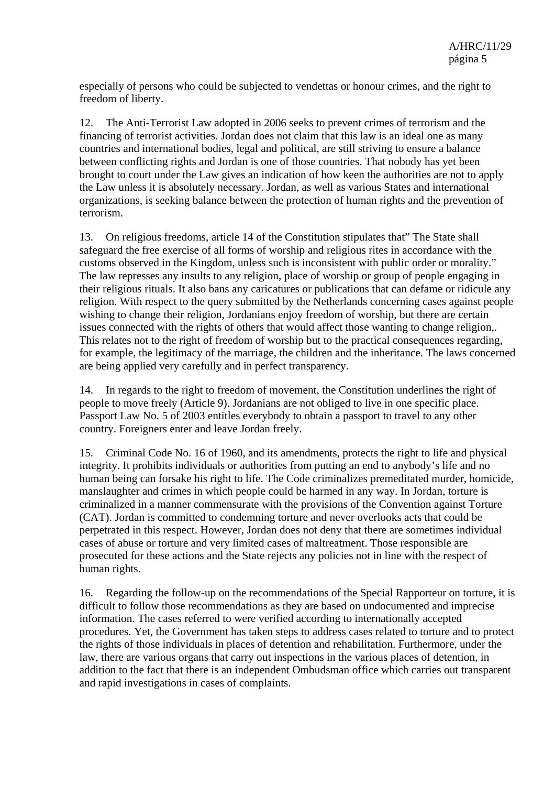especially of persons who could be subjected to vendettas or honour crimes, and the right to freedom of liberty.

12. The Anti-Terrorist Law adopted in 2006 seeks to prevent crimes of terrorism and the financing of terrorist activities. Jordan does not claim that this law is an ideal one as many countries and international bodies, legal and political, are still striving to ensure a balance between conflicting rights and Jordan is one of those countries. That nobody has yet been brought to court under the Law gives an indication of how keen the authorities are not to apply the Law unless it is absolutely necessary. Jordan, as well as various States and international organizations, is seeking balance between the protection of human rights and the prevention of terrorism.

13. On religious freedoms, article 14 of the Constitution stipulates that" The State shall safeguard the free exercise of all forms of worship and religious rites in accordance with the customs observed in the Kingdom, unless such is inconsistent with public order or morality." The law represses any insults to any religion, place of worship or group of people engaging in their religious rituals. It also bans any caricatures or publications that can defame or ridicule any religion. With respect to the query submitted by the Netherlands concerning cases against people wishing to change their religion, Jordanians enjoy freedom of worship, but there are certain issues connected with the rights of others that would affect those wanting to change religion,. This relates not to the right of freedom of worship but to the practical consequences regarding, for example, the legitimacy of the marriage, the children and the inheritance. The laws concerned are being applied very carefully and in perfect transparency.

14. In regards to the right to freedom of movement, the Constitution underlines the right of people to move freely (Article 9). Jordanians are not obliged to live in one specific place. Passport Law No. 5 of 2003 entitles everybody to obtain a passport to travel to any other country. Foreigners enter and leave Jordan freely.

15. Criminal Code No. 16 of 1960, and its amendments, protects the right to life and physical integrity. It prohibits individuals or authorities from putting an end to anybody's life and no human being can forsake his right to life. The Code criminalizes premeditated murder, homicide, manslaughter and crimes in which people could be harmed in any way. In Jordan, torture is criminalized in a manner commensurate with the provisions of the Convention against Torture (CAT). Jordan is committed to condemning torture and never overlooks acts that could be perpetrated in this respect. However, Jordan does not deny that there are sometimes individual cases of abuse or torture and very limited cases of maltreatment. Those responsible are prosecuted for these actions and the State rejects any policies not in line with the respect of human rights.

16. Regarding the follow-up on the recommendations of the Special Rapporteur on torture, it is difficult to follow those recommendations as they are based on undocumented and imprecise information. The cases referred to were verified according to internationally accepted procedures. Yet, the Government has taken steps to address cases related to torture and to protect the rights of those individuals in places of detention and rehabilitation. Furthermore, under the law, there are various organs that carry out inspections in the various places of detention, in addition to the fact that there is an independent Ombudsman office which carries out transparent and rapid investigations in cases of complaints.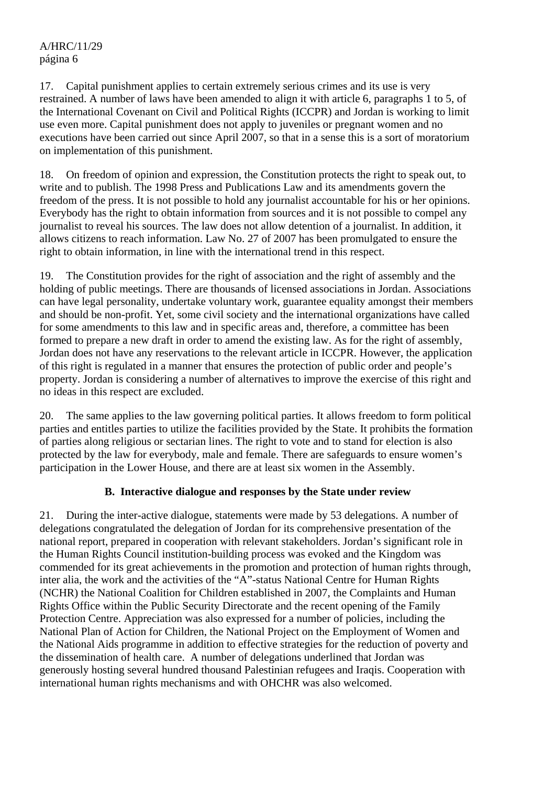17. Capital punishment applies to certain extremely serious crimes and its use is very restrained. A number of laws have been amended to align it with article 6, paragraphs 1 to 5, of the International Covenant on Civil and Political Rights (ICCPR) and Jordan is working to limit use even more. Capital punishment does not apply to juveniles or pregnant women and no executions have been carried out since April 2007, so that in a sense this is a sort of moratorium on implementation of this punishment.

18. On freedom of opinion and expression, the Constitution protects the right to speak out, to write and to publish. The 1998 Press and Publications Law and its amendments govern the freedom of the press. It is not possible to hold any journalist accountable for his or her opinions. Everybody has the right to obtain information from sources and it is not possible to compel any journalist to reveal his sources. The law does not allow detention of a journalist. In addition, it allows citizens to reach information. Law No. 27 of 2007 has been promulgated to ensure the right to obtain information, in line with the international trend in this respect.

19. The Constitution provides for the right of association and the right of assembly and the holding of public meetings. There are thousands of licensed associations in Jordan. Associations can have legal personality, undertake voluntary work, guarantee equality amongst their members and should be non-profit. Yet, some civil society and the international organizations have called for some amendments to this law and in specific areas and, therefore, a committee has been formed to prepare a new draft in order to amend the existing law. As for the right of assembly, Jordan does not have any reservations to the relevant article in ICCPR. However, the application of this right is regulated in a manner that ensures the protection of public order and people's property. Jordan is considering a number of alternatives to improve the exercise of this right and no ideas in this respect are excluded.

20. The same applies to the law governing political parties. It allows freedom to form political parties and entitles parties to utilize the facilities provided by the State. It prohibits the formation of parties along religious or sectarian lines. The right to vote and to stand for election is also protected by the law for everybody, male and female. There are safeguards to ensure women's participation in the Lower House, and there are at least six women in the Assembly.

#### **B. Interactive dialogue and responses by the State under review**

21. During the inter-active dialogue, statements were made by 53 delegations. A number of delegations congratulated the delegation of Jordan for its comprehensive presentation of the national report, prepared in cooperation with relevant stakeholders. Jordan's significant role in the Human Rights Council institution-building process was evoked and the Kingdom was commended for its great achievements in the promotion and protection of human rights through, inter alia, the work and the activities of the "A"-status National Centre for Human Rights (NCHR) the National Coalition for Children established in 2007, the Complaints and Human Rights Office within the Public Security Directorate and the recent opening of the Family Protection Centre. Appreciation was also expressed for a number of policies, including the National Plan of Action for Children, the National Project on the Employment of Women and the National Aids programme in addition to effective strategies for the reduction of poverty and the dissemination of health care. A number of delegations underlined that Jordan was generously hosting several hundred thousand Palestinian refugees and Iraqis. Cooperation with international human rights mechanisms and with OHCHR was also welcomed.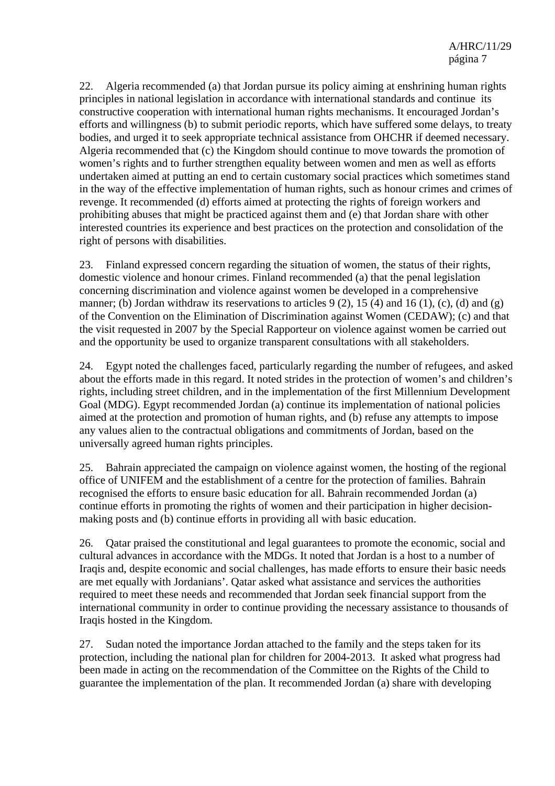22. Algeria recommended (a) that Jordan pursue its policy aiming at enshrining human rights principles in national legislation in accordance with international standards and continue its constructive cooperation with international human rights mechanisms. It encouraged Jordan's efforts and willingness (b) to submit periodic reports, which have suffered some delays, to treaty bodies, and urged it to seek appropriate technical assistance from OHCHR if deemed necessary. Algeria recommended that (c) the Kingdom should continue to move towards the promotion of women's rights and to further strengthen equality between women and men as well as efforts undertaken aimed at putting an end to certain customary social practices which sometimes stand in the way of the effective implementation of human rights, such as honour crimes and crimes of revenge. It recommended (d) efforts aimed at protecting the rights of foreign workers and prohibiting abuses that might be practiced against them and (e) that Jordan share with other interested countries its experience and best practices on the protection and consolidation of the right of persons with disabilities.

23. Finland expressed concern regarding the situation of women, the status of their rights, domestic violence and honour crimes. Finland recommended (a) that the penal legislation concerning discrimination and violence against women be developed in a comprehensive manner; (b) Jordan withdraw its reservations to articles  $9(2)$ , 15 (4) and 16 (1), (c), (d) and (g) of the Convention on the Elimination of Discrimination against Women (CEDAW); (c) and that the visit requested in 2007 by the Special Rapporteur on violence against women be carried out and the opportunity be used to organize transparent consultations with all stakeholders.

24. Egypt noted the challenges faced, particularly regarding the number of refugees, and asked about the efforts made in this regard. It noted strides in the protection of women's and children's rights, including street children, and in the implementation of the first Millennium Development Goal (MDG). Egypt recommended Jordan (a) continue its implementation of national policies aimed at the protection and promotion of human rights, and (b) refuse any attempts to impose any values alien to the contractual obligations and commitments of Jordan, based on the universally agreed human rights principles.

25. Bahrain appreciated the campaign on violence against women, the hosting of the regional office of UNIFEM and the establishment of a centre for the protection of families. Bahrain recognised the efforts to ensure basic education for all. Bahrain recommended Jordan (a) continue efforts in promoting the rights of women and their participation in higher decisionmaking posts and (b) continue efforts in providing all with basic education.

26. Qatar praised the constitutional and legal guarantees to promote the economic, social and cultural advances in accordance with the MDGs. It noted that Jordan is a host to a number of Iraqis and, despite economic and social challenges, has made efforts to ensure their basic needs are met equally with Jordanians'. Qatar asked what assistance and services the authorities required to meet these needs and recommended that Jordan seek financial support from the international community in order to continue providing the necessary assistance to thousands of Iraqis hosted in the Kingdom.

27. Sudan noted the importance Jordan attached to the family and the steps taken for its protection, including the national plan for children for 2004-2013. It asked what progress had been made in acting on the recommendation of the Committee on the Rights of the Child to guarantee the implementation of the plan. It recommended Jordan (a) share with developing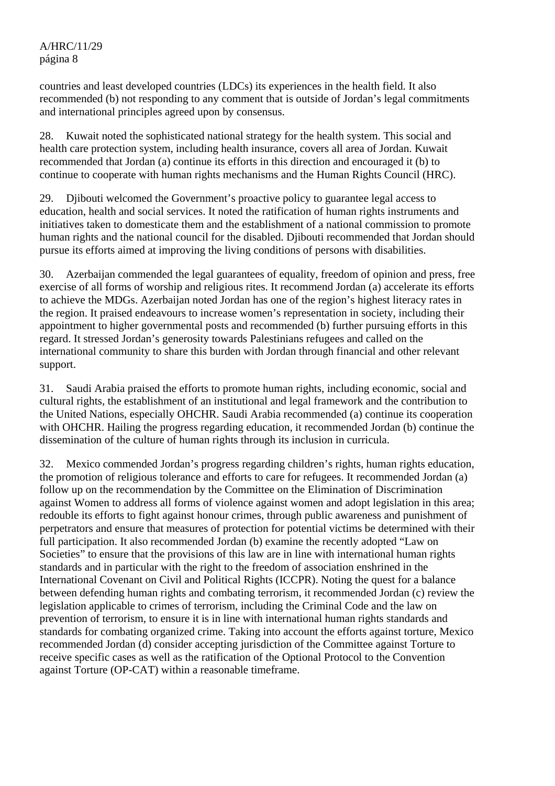countries and least developed countries (LDCs) its experiences in the health field. It also recommended (b) not responding to any comment that is outside of Jordan's legal commitments and international principles agreed upon by consensus.

28. Kuwait noted the sophisticated national strategy for the health system. This social and health care protection system, including health insurance, covers all area of Jordan. Kuwait recommended that Jordan (a) continue its efforts in this direction and encouraged it (b) to continue to cooperate with human rights mechanisms and the Human Rights Council (HRC).

29. Djibouti welcomed the Government's proactive policy to guarantee legal access to education, health and social services. It noted the ratification of human rights instruments and initiatives taken to domesticate them and the establishment of a national commission to promote human rights and the national council for the disabled. Djibouti recommended that Jordan should pursue its efforts aimed at improving the living conditions of persons with disabilities.

30. Azerbaijan commended the legal guarantees of equality, freedom of opinion and press, free exercise of all forms of worship and religious rites. It recommend Jordan (a) accelerate its efforts to achieve the MDGs. Azerbaijan noted Jordan has one of the region's highest literacy rates in the region. It praised endeavours to increase women's representation in society, including their appointment to higher governmental posts and recommended (b) further pursuing efforts in this regard. It stressed Jordan's generosity towards Palestinians refugees and called on the international community to share this burden with Jordan through financial and other relevant support.

31. Saudi Arabia praised the efforts to promote human rights, including economic, social and cultural rights, the establishment of an institutional and legal framework and the contribution to the United Nations, especially OHCHR. Saudi Arabia recommended (a) continue its cooperation with OHCHR. Hailing the progress regarding education, it recommended Jordan (b) continue the dissemination of the culture of human rights through its inclusion in curricula.

32. Mexico commended Jordan's progress regarding children's rights, human rights education, the promotion of religious tolerance and efforts to care for refugees. It recommended Jordan (a) follow up on the recommendation by the Committee on the Elimination of Discrimination against Women to address all forms of violence against women and adopt legislation in this area; redouble its efforts to fight against honour crimes, through public awareness and punishment of perpetrators and ensure that measures of protection for potential victims be determined with their full participation. It also recommended Jordan (b) examine the recently adopted "Law on Societies" to ensure that the provisions of this law are in line with international human rights standards and in particular with the right to the freedom of association enshrined in the International Covenant on Civil and Political Rights (ICCPR). Noting the quest for a balance between defending human rights and combating terrorism, it recommended Jordan (c) review the legislation applicable to crimes of terrorism, including the Criminal Code and the law on prevention of terrorism, to ensure it is in line with international human rights standards and standards for combating organized crime. Taking into account the efforts against torture, Mexico recommended Jordan (d) consider accepting jurisdiction of the Committee against Torture to receive specific cases as well as the ratification of the Optional Protocol to the Convention against Torture (OP-CAT) within a reasonable timeframe.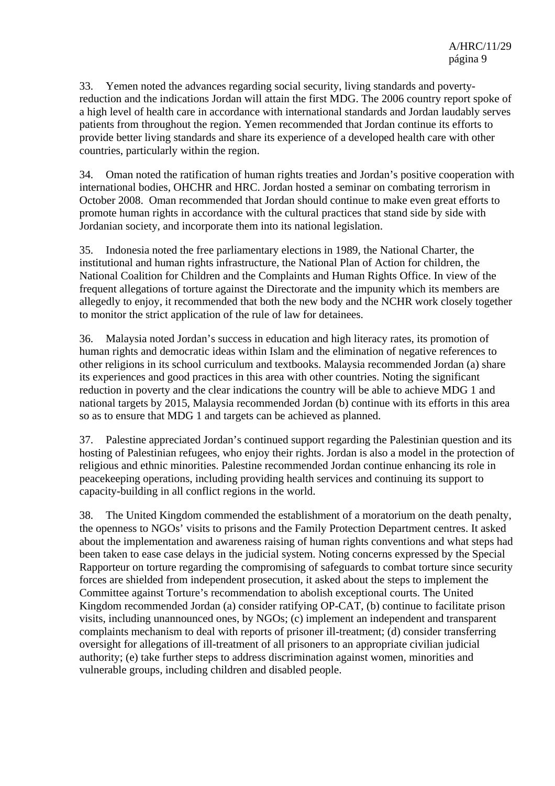33. Yemen noted the advances regarding social security, living standards and povertyreduction and the indications Jordan will attain the first MDG. The 2006 country report spoke of a high level of health care in accordance with international standards and Jordan laudably serves patients from throughout the region. Yemen recommended that Jordan continue its efforts to provide better living standards and share its experience of a developed health care with other countries, particularly within the region.

34. Oman noted the ratification of human rights treaties and Jordan's positive cooperation with international bodies, OHCHR and HRC. Jordan hosted a seminar on combating terrorism in October 2008. Oman recommended that Jordan should continue to make even great efforts to promote human rights in accordance with the cultural practices that stand side by side with Jordanian society, and incorporate them into its national legislation.

35. Indonesia noted the free parliamentary elections in 1989, the National Charter, the institutional and human rights infrastructure, the National Plan of Action for children, the National Coalition for Children and the Complaints and Human Rights Office. In view of the frequent allegations of torture against the Directorate and the impunity which its members are allegedly to enjoy, it recommended that both the new body and the NCHR work closely together to monitor the strict application of the rule of law for detainees.

36. Malaysia noted Jordan's success in education and high literacy rates, its promotion of human rights and democratic ideas within Islam and the elimination of negative references to other religions in its school curriculum and textbooks. Malaysia recommended Jordan (a) share its experiences and good practices in this area with other countries. Noting the significant reduction in poverty and the clear indications the country will be able to achieve MDG 1 and national targets by 2015, Malaysia recommended Jordan (b) continue with its efforts in this area so as to ensure that MDG 1 and targets can be achieved as planned.

37. Palestine appreciated Jordan's continued support regarding the Palestinian question and its hosting of Palestinian refugees, who enjoy their rights. Jordan is also a model in the protection of religious and ethnic minorities. Palestine recommended Jordan continue enhancing its role in peacekeeping operations, including providing health services and continuing its support to capacity-building in all conflict regions in the world.

38. The United Kingdom commended the establishment of a moratorium on the death penalty, the openness to NGOs' visits to prisons and the Family Protection Department centres. It asked about the implementation and awareness raising of human rights conventions and what steps had been taken to ease case delays in the judicial system. Noting concerns expressed by the Special Rapporteur on torture regarding the compromising of safeguards to combat torture since security forces are shielded from independent prosecution, it asked about the steps to implement the Committee against Torture's recommendation to abolish exceptional courts. The United Kingdom recommended Jordan (a) consider ratifying OP-CAT, (b) continue to facilitate prison visits, including unannounced ones, by NGOs; (c) implement an independent and transparent complaints mechanism to deal with reports of prisoner ill-treatment; (d) consider transferring oversight for allegations of ill-treatment of all prisoners to an appropriate civilian judicial authority; (e) take further steps to address discrimination against women, minorities and vulnerable groups, including children and disabled people.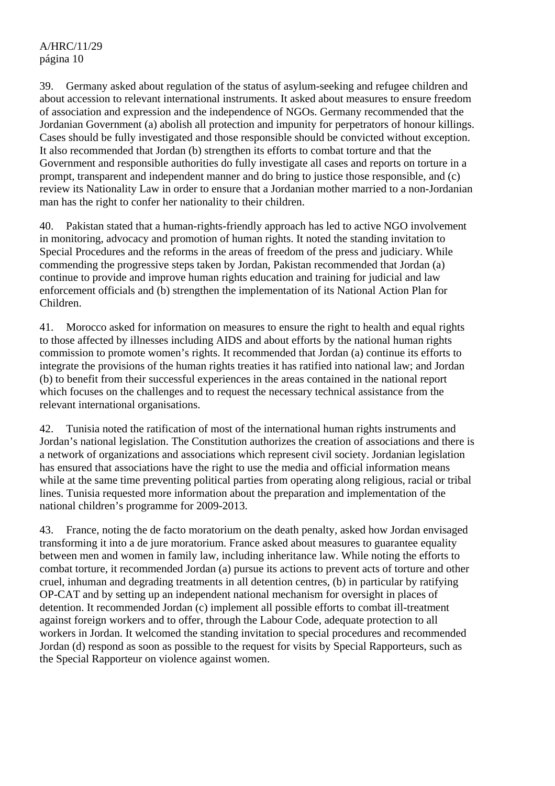39. Germany asked about regulation of the status of asylum-seeking and refugee children and about accession to relevant international instruments. It asked about measures to ensure freedom of association and expression and the independence of NGOs. Germany recommended that the Jordanian Government (a) abolish all protection and impunity for perpetrators of honour killings. Cases should be fully investigated and those responsible should be convicted without exception. It also recommended that Jordan (b) strengthen its efforts to combat torture and that the Government and responsible authorities do fully investigate all cases and reports on torture in a prompt, transparent and independent manner and do bring to justice those responsible, and (c) review its Nationality Law in order to ensure that a Jordanian mother married to a non-Jordanian man has the right to confer her nationality to their children.

40. Pakistan stated that a human-rights-friendly approach has led to active NGO involvement in monitoring, advocacy and promotion of human rights. It noted the standing invitation to Special Procedures and the reforms in the areas of freedom of the press and judiciary. While commending the progressive steps taken by Jordan, Pakistan recommended that Jordan (a) continue to provide and improve human rights education and training for judicial and law enforcement officials and (b) strengthen the implementation of its National Action Plan for Children.

41. Morocco asked for information on measures to ensure the right to health and equal rights to those affected by illnesses including AIDS and about efforts by the national human rights commission to promote women's rights. It recommended that Jordan (a) continue its efforts to integrate the provisions of the human rights treaties it has ratified into national law; and Jordan (b) to benefit from their successful experiences in the areas contained in the national report which focuses on the challenges and to request the necessary technical assistance from the relevant international organisations.

42. Tunisia noted the ratification of most of the international human rights instruments and Jordan's national legislation. The Constitution authorizes the creation of associations and there is a network of organizations and associations which represent civil society. Jordanian legislation has ensured that associations have the right to use the media and official information means while at the same time preventing political parties from operating along religious, racial or tribal lines. Tunisia requested more information about the preparation and implementation of the national children's programme for 2009-2013.

43. France, noting the de facto moratorium on the death penalty, asked how Jordan envisaged transforming it into a de jure moratorium. France asked about measures to guarantee equality between men and women in family law, including inheritance law. While noting the efforts to combat torture, it recommended Jordan (a) pursue its actions to prevent acts of torture and other cruel, inhuman and degrading treatments in all detention centres, (b) in particular by ratifying OP-CAT and by setting up an independent national mechanism for oversight in places of detention. It recommended Jordan (c) implement all possible efforts to combat ill-treatment against foreign workers and to offer, through the Labour Code, adequate protection to all workers in Jordan. It welcomed the standing invitation to special procedures and recommended Jordan (d) respond as soon as possible to the request for visits by Special Rapporteurs, such as the Special Rapporteur on violence against women.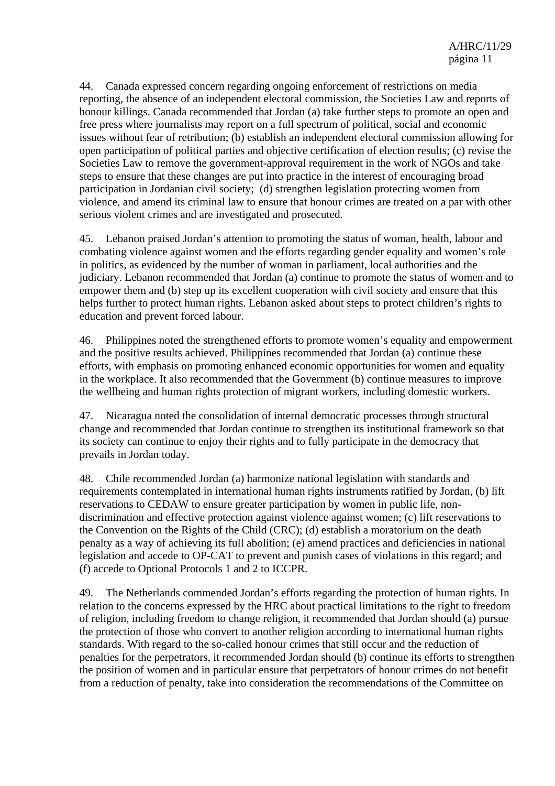44. Canada expressed concern regarding ongoing enforcement of restrictions on media reporting, the absence of an independent electoral commission, the Societies Law and reports of honour killings. Canada recommended that Jordan (a) take further steps to promote an open and free press where journalists may report on a full spectrum of political, social and economic issues without fear of retribution; (b) establish an independent electoral commission allowing for open participation of political parties and objective certification of election results; (c) revise the Societies Law to remove the government-approval requirement in the work of NGOs and take steps to ensure that these changes are put into practice in the interest of encouraging broad participation in Jordanian civil society; (d) strengthen legislation protecting women from violence, and amend its criminal law to ensure that honour crimes are treated on a par with other serious violent crimes and are investigated and prosecuted.

45. Lebanon praised Jordan's attention to promoting the status of woman, health, labour and combating violence against women and the efforts regarding gender equality and women's role in politics, as evidenced by the number of woman in parliament, local authorities and the judiciary. Lebanon recommended that Jordan (a) continue to promote the status of women and to empower them and (b) step up its excellent cooperation with civil society and ensure that this helps further to protect human rights. Lebanon asked about steps to protect children's rights to education and prevent forced labour.

46. Philippines noted the strengthened efforts to promote women's equality and empowerment and the positive results achieved. Philippines recommended that Jordan (a) continue these efforts, with emphasis on promoting enhanced economic opportunities for women and equality in the workplace. It also recommended that the Government (b) continue measures to improve the wellbeing and human rights protection of migrant workers, including domestic workers.

47. Nicaragua noted the consolidation of internal democratic processes through structural change and recommended that Jordan continue to strengthen its institutional framework so that its society can continue to enjoy their rights and to fully participate in the democracy that prevails in Jordan today.

48. Chile recommended Jordan (a) harmonize national legislation with standards and requirements contemplated in international human rights instruments ratified by Jordan, (b) lift reservations to CEDAW to ensure greater participation by women in public life, nondiscrimination and effective protection against violence against women; (c) lift reservations to the Convention on the Rights of the Child (CRC); (d) establish a moratorium on the death penalty as a way of achieving its full abolition; (e) amend practices and deficiencies in national legislation and accede to OP-CAT to prevent and punish cases of violations in this regard; and (f) accede to Optional Protocols 1 and 2 to ICCPR.

49. The Netherlands commended Jordan's efforts regarding the protection of human rights. In relation to the concerns expressed by the HRC about practical limitations to the right to freedom of religion, including freedom to change religion, it recommended that Jordan should (a) pursue the protection of those who convert to another religion according to international human rights standards. With regard to the so-called honour crimes that still occur and the reduction of penalties for the perpetrators, it recommended Jordan should (b) continue its efforts to strengthen the position of women and in particular ensure that perpetrators of honour crimes do not benefit from a reduction of penalty, take into consideration the recommendations of the Committee on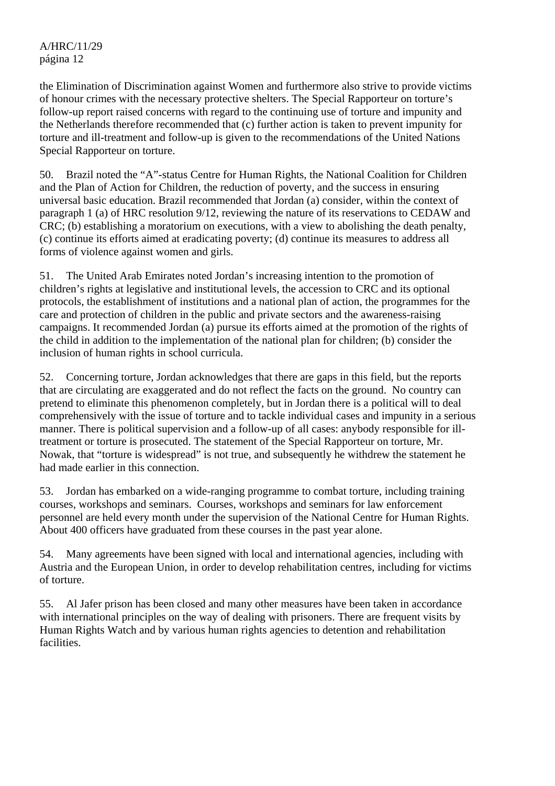the Elimination of Discrimination against Women and furthermore also strive to provide victims of honour crimes with the necessary protective shelters. The Special Rapporteur on torture's follow-up report raised concerns with regard to the continuing use of torture and impunity and the Netherlands therefore recommended that (c) further action is taken to prevent impunity for torture and ill-treatment and follow-up is given to the recommendations of the United Nations Special Rapporteur on torture.

50. Brazil noted the "A"-status Centre for Human Rights, the National Coalition for Children and the Plan of Action for Children, the reduction of poverty, and the success in ensuring universal basic education. Brazil recommended that Jordan (a) consider, within the context of paragraph 1 (a) of HRC resolution 9/12, reviewing the nature of its reservations to CEDAW and CRC; (b) establishing a moratorium on executions, with a view to abolishing the death penalty, (c) continue its efforts aimed at eradicating poverty; (d) continue its measures to address all forms of violence against women and girls.

51. The United Arab Emirates noted Jordan's increasing intention to the promotion of children's rights at legislative and institutional levels, the accession to CRC and its optional protocols, the establishment of institutions and a national plan of action, the programmes for the care and protection of children in the public and private sectors and the awareness-raising campaigns. It recommended Jordan (a) pursue its efforts aimed at the promotion of the rights of the child in addition to the implementation of the national plan for children; (b) consider the inclusion of human rights in school curricula.

52. Concerning torture, Jordan acknowledges that there are gaps in this field, but the reports that are circulating are exaggerated and do not reflect the facts on the ground. No country can pretend to eliminate this phenomenon completely, but in Jordan there is a political will to deal comprehensively with the issue of torture and to tackle individual cases and impunity in a serious manner. There is political supervision and a follow-up of all cases: anybody responsible for illtreatment or torture is prosecuted. The statement of the Special Rapporteur on torture, Mr. Nowak, that "torture is widespread" is not true, and subsequently he withdrew the statement he had made earlier in this connection.

53. Jordan has embarked on a wide-ranging programme to combat torture, including training courses, workshops and seminars. Courses, workshops and seminars for law enforcement personnel are held every month under the supervision of the National Centre for Human Rights. About 400 officers have graduated from these courses in the past year alone.

54. Many agreements have been signed with local and international agencies, including with Austria and the European Union, in order to develop rehabilitation centres, including for victims of torture.

55. Al Jafer prison has been closed and many other measures have been taken in accordance with international principles on the way of dealing with prisoners. There are frequent visits by Human Rights Watch and by various human rights agencies to detention and rehabilitation facilities.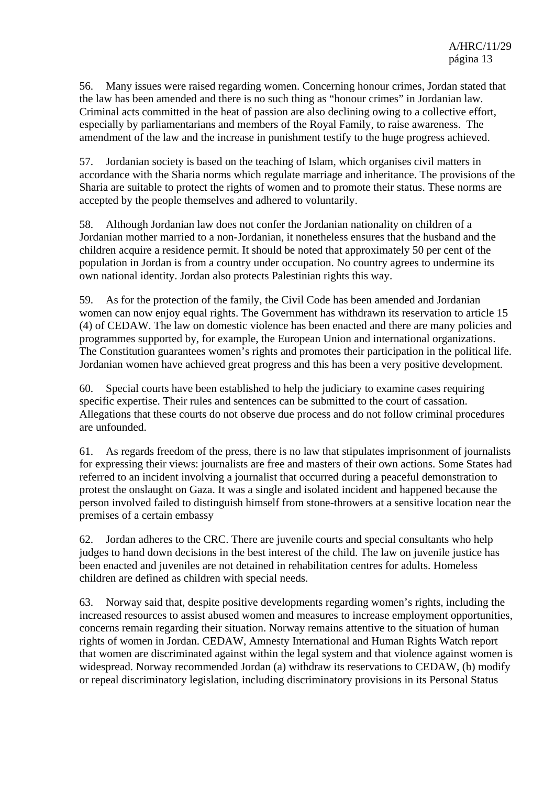56. Many issues were raised regarding women. Concerning honour crimes, Jordan stated that the law has been amended and there is no such thing as "honour crimes" in Jordanian law. Criminal acts committed in the heat of passion are also declining owing to a collective effort, especially by parliamentarians and members of the Royal Family, to raise awareness. The amendment of the law and the increase in punishment testify to the huge progress achieved.

57. Jordanian society is based on the teaching of Islam, which organises civil matters in accordance with the Sharia norms which regulate marriage and inheritance. The provisions of the Sharia are suitable to protect the rights of women and to promote their status. These norms are accepted by the people themselves and adhered to voluntarily.

58. Although Jordanian law does not confer the Jordanian nationality on children of a Jordanian mother married to a non-Jordanian, it nonetheless ensures that the husband and the children acquire a residence permit. It should be noted that approximately 50 per cent of the population in Jordan is from a country under occupation. No country agrees to undermine its own national identity. Jordan also protects Palestinian rights this way.

59. As for the protection of the family, the Civil Code has been amended and Jordanian women can now enjoy equal rights. The Government has withdrawn its reservation to article 15 (4) of CEDAW. The law on domestic violence has been enacted and there are many policies and programmes supported by, for example, the European Union and international organizations. The Constitution guarantees women's rights and promotes their participation in the political life. Jordanian women have achieved great progress and this has been a very positive development.

60. Special courts have been established to help the judiciary to examine cases requiring specific expertise. Their rules and sentences can be submitted to the court of cassation. Allegations that these courts do not observe due process and do not follow criminal procedures are unfounded.

61. As regards freedom of the press, there is no law that stipulates imprisonment of journalists for expressing their views: journalists are free and masters of their own actions. Some States had referred to an incident involving a journalist that occurred during a peaceful demonstration to protest the onslaught on Gaza. It was a single and isolated incident and happened because the person involved failed to distinguish himself from stone-throwers at a sensitive location near the premises of a certain embassy

62. Jordan adheres to the CRC. There are juvenile courts and special consultants who help judges to hand down decisions in the best interest of the child. The law on juvenile justice has been enacted and juveniles are not detained in rehabilitation centres for adults. Homeless children are defined as children with special needs.

63. Norway said that, despite positive developments regarding women's rights, including the increased resources to assist abused women and measures to increase employment opportunities, concerns remain regarding their situation. Norway remains attentive to the situation of human rights of women in Jordan. CEDAW, Amnesty International and Human Rights Watch report that women are discriminated against within the legal system and that violence against women is widespread. Norway recommended Jordan (a) withdraw its reservations to CEDAW, (b) modify or repeal discriminatory legislation, including discriminatory provisions in its Personal Status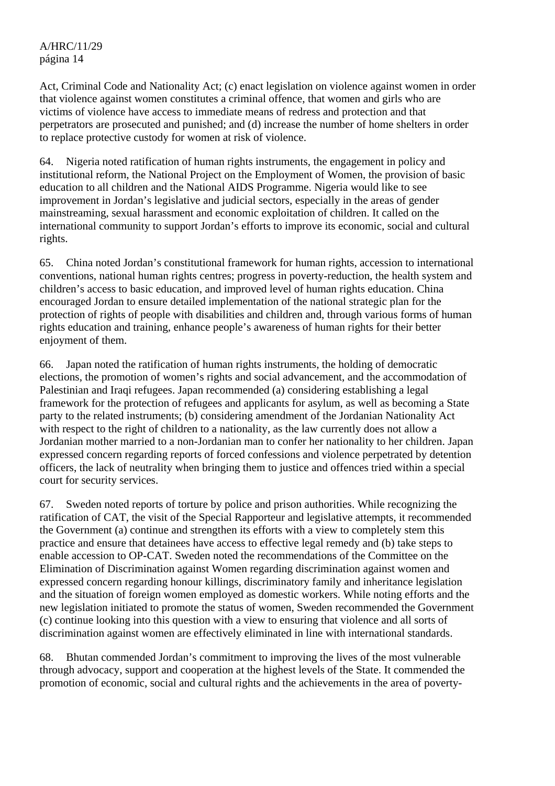Act, Criminal Code and Nationality Act; (c) enact legislation on violence against women in order that violence against women constitutes a criminal offence, that women and girls who are victims of violence have access to immediate means of redress and protection and that perpetrators are prosecuted and punished; and (d) increase the number of home shelters in order to replace protective custody for women at risk of violence.

64. Nigeria noted ratification of human rights instruments, the engagement in policy and institutional reform, the National Project on the Employment of Women, the provision of basic education to all children and the National AIDS Programme. Nigeria would like to see improvement in Jordan's legislative and judicial sectors, especially in the areas of gender mainstreaming, sexual harassment and economic exploitation of children. It called on the international community to support Jordan's efforts to improve its economic, social and cultural rights.

65. China noted Jordan's constitutional framework for human rights, accession to international conventions, national human rights centres; progress in poverty-reduction, the health system and children's access to basic education, and improved level of human rights education. China encouraged Jordan to ensure detailed implementation of the national strategic plan for the protection of rights of people with disabilities and children and, through various forms of human rights education and training, enhance people's awareness of human rights for their better enjoyment of them.

66. Japan noted the ratification of human rights instruments, the holding of democratic elections, the promotion of women's rights and social advancement, and the accommodation of Palestinian and Iraqi refugees. Japan recommended (a) considering establishing a legal framework for the protection of refugees and applicants for asylum, as well as becoming a State party to the related instruments; (b) considering amendment of the Jordanian Nationality Act with respect to the right of children to a nationality, as the law currently does not allow a Jordanian mother married to a non-Jordanian man to confer her nationality to her children. Japan expressed concern regarding reports of forced confessions and violence perpetrated by detention officers, the lack of neutrality when bringing them to justice and offences tried within a special court for security services.

67. Sweden noted reports of torture by police and prison authorities. While recognizing the ratification of CAT, the visit of the Special Rapporteur and legislative attempts, it recommended the Government (a) continue and strengthen its efforts with a view to completely stem this practice and ensure that detainees have access to effective legal remedy and (b) take steps to enable accession to OP-CAT. Sweden noted the recommendations of the Committee on the Elimination of Discrimination against Women regarding discrimination against women and expressed concern regarding honour killings, discriminatory family and inheritance legislation and the situation of foreign women employed as domestic workers. While noting efforts and the new legislation initiated to promote the status of women, Sweden recommended the Government (c) continue looking into this question with a view to ensuring that violence and all sorts of discrimination against women are effectively eliminated in line with international standards.

68. Bhutan commended Jordan's commitment to improving the lives of the most vulnerable through advocacy, support and cooperation at the highest levels of the State. It commended the promotion of economic, social and cultural rights and the achievements in the area of poverty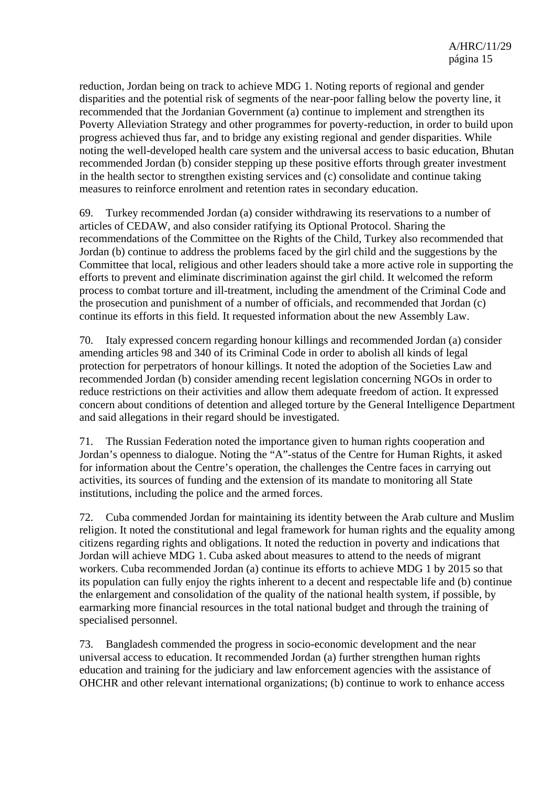reduction, Jordan being on track to achieve MDG 1. Noting reports of regional and gender disparities and the potential risk of segments of the near-poor falling below the poverty line, it recommended that the Jordanian Government (a) continue to implement and strengthen its Poverty Alleviation Strategy and other programmes for poverty-reduction, in order to build upon progress achieved thus far, and to bridge any existing regional and gender disparities. While noting the well-developed health care system and the universal access to basic education, Bhutan recommended Jordan (b) consider stepping up these positive efforts through greater investment in the health sector to strengthen existing services and (c) consolidate and continue taking measures to reinforce enrolment and retention rates in secondary education.

69. Turkey recommended Jordan (a) consider withdrawing its reservations to a number of articles of CEDAW, and also consider ratifying its Optional Protocol. Sharing the recommendations of the Committee on the Rights of the Child, Turkey also recommended that Jordan (b) continue to address the problems faced by the girl child and the suggestions by the Committee that local, religious and other leaders should take a more active role in supporting the efforts to prevent and eliminate discrimination against the girl child. It welcomed the reform process to combat torture and ill-treatment, including the amendment of the Criminal Code and the prosecution and punishment of a number of officials, and recommended that Jordan (c) continue its efforts in this field. It requested information about the new Assembly Law.

70. Italy expressed concern regarding honour killings and recommended Jordan (a) consider amending articles 98 and 340 of its Criminal Code in order to abolish all kinds of legal protection for perpetrators of honour killings. It noted the adoption of the Societies Law and recommended Jordan (b) consider amending recent legislation concerning NGOs in order to reduce restrictions on their activities and allow them adequate freedom of action. It expressed concern about conditions of detention and alleged torture by the General Intelligence Department and said allegations in their regard should be investigated.

71. The Russian Federation noted the importance given to human rights cooperation and Jordan's openness to dialogue. Noting the "A"-status of the Centre for Human Rights, it asked for information about the Centre's operation, the challenges the Centre faces in carrying out activities, its sources of funding and the extension of its mandate to monitoring all State institutions, including the police and the armed forces.

72. Cuba commended Jordan for maintaining its identity between the Arab culture and Muslim religion. It noted the constitutional and legal framework for human rights and the equality among citizens regarding rights and obligations. It noted the reduction in poverty and indications that Jordan will achieve MDG 1. Cuba asked about measures to attend to the needs of migrant workers. Cuba recommended Jordan (a) continue its efforts to achieve MDG 1 by 2015 so that its population can fully enjoy the rights inherent to a decent and respectable life and (b) continue the enlargement and consolidation of the quality of the national health system, if possible, by earmarking more financial resources in the total national budget and through the training of specialised personnel.

73. Bangladesh commended the progress in socio-economic development and the near universal access to education. It recommended Jordan (a) further strengthen human rights education and training for the judiciary and law enforcement agencies with the assistance of OHCHR and other relevant international organizations; (b) continue to work to enhance access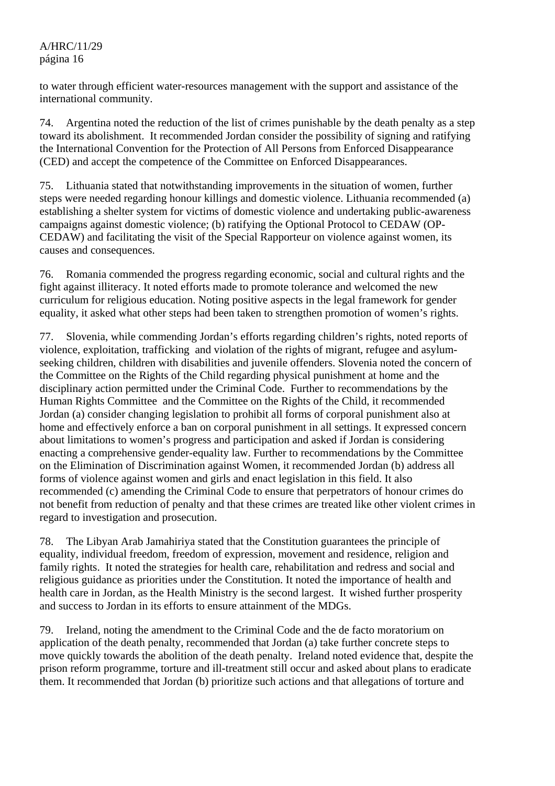to water through efficient water-resources management with the support and assistance of the international community.

74. Argentina noted the reduction of the list of crimes punishable by the death penalty as a step toward its abolishment. It recommended Jordan consider the possibility of signing and ratifying the International Convention for the Protection of All Persons from Enforced Disappearance (CED) and accept the competence of the Committee on Enforced Disappearances.

75. Lithuania stated that notwithstanding improvements in the situation of women, further steps were needed regarding honour killings and domestic violence. Lithuania recommended (a) establishing a shelter system for victims of domestic violence and undertaking public-awareness campaigns against domestic violence; (b) ratifying the Optional Protocol to CEDAW (OP-CEDAW) and facilitating the visit of the Special Rapporteur on violence against women, its causes and consequences.

76. Romania commended the progress regarding economic, social and cultural rights and the fight against illiteracy. It noted efforts made to promote tolerance and welcomed the new curriculum for religious education. Noting positive aspects in the legal framework for gender equality, it asked what other steps had been taken to strengthen promotion of women's rights.

77. Slovenia, while commending Jordan's efforts regarding children's rights, noted reports of violence, exploitation, trafficking and violation of the rights of migrant, refugee and asylumseeking children, children with disabilities and juvenile offenders. Slovenia noted the concern of the Committee on the Rights of the Child regarding physical punishment at home and the disciplinary action permitted under the Criminal Code. Further to recommendations by the Human Rights Committee and the Committee on the Rights of the Child, it recommended Jordan (a) consider changing legislation to prohibit all forms of corporal punishment also at home and effectively enforce a ban on corporal punishment in all settings. It expressed concern about limitations to women's progress and participation and asked if Jordan is considering enacting a comprehensive gender-equality law. Further to recommendations by the Committee on the Elimination of Discrimination against Women, it recommended Jordan (b) address all forms of violence against women and girls and enact legislation in this field. It also recommended (c) amending the Criminal Code to ensure that perpetrators of honour crimes do not benefit from reduction of penalty and that these crimes are treated like other violent crimes in regard to investigation and prosecution.

78. The Libyan Arab Jamahiriya stated that the Constitution guarantees the principle of equality, individual freedom, freedom of expression, movement and residence, religion and family rights. It noted the strategies for health care, rehabilitation and redress and social and religious guidance as priorities under the Constitution. It noted the importance of health and health care in Jordan, as the Health Ministry is the second largest. It wished further prosperity and success to Jordan in its efforts to ensure attainment of the MDGs.

79. Ireland, noting the amendment to the Criminal Code and the de facto moratorium on application of the death penalty, recommended that Jordan (a) take further concrete steps to move quickly towards the abolition of the death penalty. Ireland noted evidence that, despite the prison reform programme, torture and ill-treatment still occur and asked about plans to eradicate them. It recommended that Jordan (b) prioritize such actions and that allegations of torture and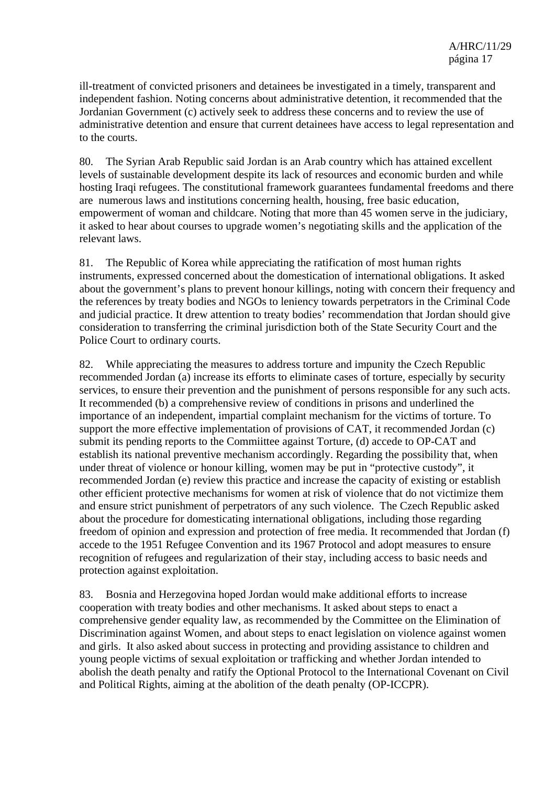ill-treatment of convicted prisoners and detainees be investigated in a timely, transparent and independent fashion. Noting concerns about administrative detention, it recommended that the Jordanian Government (c) actively seek to address these concerns and to review the use of administrative detention and ensure that current detainees have access to legal representation and to the courts.

80. The Syrian Arab Republic said Jordan is an Arab country which has attained excellent levels of sustainable development despite its lack of resources and economic burden and while hosting Iraqi refugees. The constitutional framework guarantees fundamental freedoms and there are numerous laws and institutions concerning health, housing, free basic education, empowerment of woman and childcare. Noting that more than 45 women serve in the judiciary, it asked to hear about courses to upgrade women's negotiating skills and the application of the relevant laws.

81. The Republic of Korea while appreciating the ratification of most human rights instruments, expressed concerned about the domestication of international obligations. It asked about the government's plans to prevent honour killings, noting with concern their frequency and the references by treaty bodies and NGOs to leniency towards perpetrators in the Criminal Code and judicial practice. It drew attention to treaty bodies' recommendation that Jordan should give consideration to transferring the criminal jurisdiction both of the State Security Court and the Police Court to ordinary courts.

82. While appreciating the measures to address torture and impunity the Czech Republic recommended Jordan (a) increase its efforts to eliminate cases of torture, especially by security services, to ensure their prevention and the punishment of persons responsible for any such acts. It recommended (b) a comprehensive review of conditions in prisons and underlined the importance of an independent, impartial complaint mechanism for the victims of torture. To support the more effective implementation of provisions of CAT, it recommended Jordan (c) submit its pending reports to the Commiittee against Torture, (d) accede to OP-CAT and establish its national preventive mechanism accordingly. Regarding the possibility that, when under threat of violence or honour killing, women may be put in "protective custody", it recommended Jordan (e) review this practice and increase the capacity of existing or establish other efficient protective mechanisms for women at risk of violence that do not victimize them and ensure strict punishment of perpetrators of any such violence. The Czech Republic asked about the procedure for domesticating international obligations, including those regarding freedom of opinion and expression and protection of free media. It recommended that Jordan (f) accede to the 1951 Refugee Convention and its 1967 Protocol and adopt measures to ensure recognition of refugees and regularization of their stay, including access to basic needs and protection against exploitation.

83. Bosnia and Herzegovina hoped Jordan would make additional efforts to increase cooperation with treaty bodies and other mechanisms. It asked about steps to enact a comprehensive gender equality law, as recommended by the Committee on the Elimination of Discrimination against Women, and about steps to enact legislation on violence against women and girls. It also asked about success in protecting and providing assistance to children and young people victims of sexual exploitation or trafficking and whether Jordan intended to abolish the death penalty and ratify the Optional Protocol to the International Covenant on Civil and Political Rights, aiming at the abolition of the death penalty (OP-ICCPR).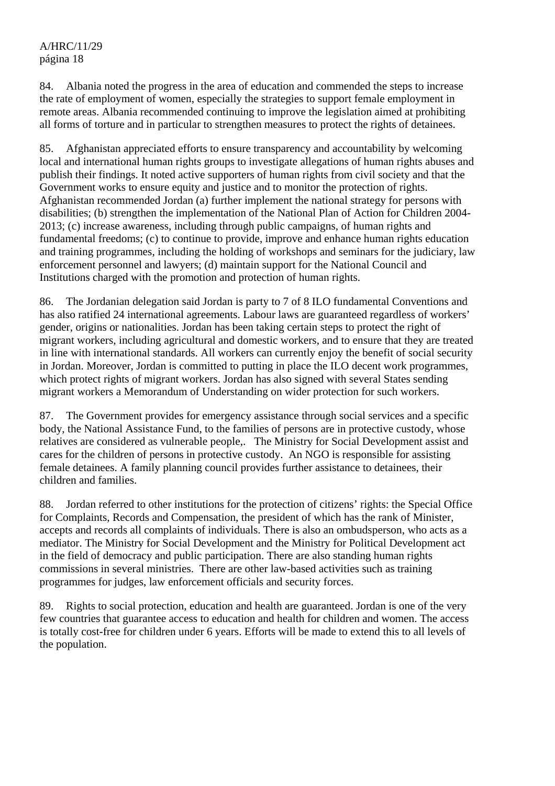84. Albania noted the progress in the area of education and commended the steps to increase the rate of employment of women, especially the strategies to support female employment in remote areas. Albania recommended continuing to improve the legislation aimed at prohibiting all forms of torture and in particular to strengthen measures to protect the rights of detainees.

85. Afghanistan appreciated efforts to ensure transparency and accountability by welcoming local and international human rights groups to investigate allegations of human rights abuses and publish their findings. It noted active supporters of human rights from civil society and that the Government works to ensure equity and justice and to monitor the protection of rights. Afghanistan recommended Jordan (a) further implement the national strategy for persons with disabilities; (b) strengthen the implementation of the National Plan of Action for Children 2004- 2013; (c) increase awareness, including through public campaigns, of human rights and fundamental freedoms; (c) to continue to provide, improve and enhance human rights education and training programmes, including the holding of workshops and seminars for the judiciary, law enforcement personnel and lawyers; (d) maintain support for the National Council and Institutions charged with the promotion and protection of human rights.

86. The Jordanian delegation said Jordan is party to 7 of 8 ILO fundamental Conventions and has also ratified 24 international agreements. Labour laws are guaranteed regardless of workers' gender, origins or nationalities. Jordan has been taking certain steps to protect the right of migrant workers, including agricultural and domestic workers, and to ensure that they are treated in line with international standards. All workers can currently enjoy the benefit of social security in Jordan. Moreover, Jordan is committed to putting in place the ILO decent work programmes, which protect rights of migrant workers. Jordan has also signed with several States sending migrant workers a Memorandum of Understanding on wider protection for such workers.

87. The Government provides for emergency assistance through social services and a specific body, the National Assistance Fund, to the families of persons are in protective custody, whose relatives are considered as vulnerable people,. The Ministry for Social Development assist and cares for the children of persons in protective custody. An NGO is responsible for assisting female detainees. A family planning council provides further assistance to detainees, their children and families.

88. Jordan referred to other institutions for the protection of citizens' rights: the Special Office for Complaints, Records and Compensation, the president of which has the rank of Minister, accepts and records all complaints of individuals. There is also an ombudsperson, who acts as a mediator. The Ministry for Social Development and the Ministry for Political Development act in the field of democracy and public participation. There are also standing human rights commissions in several ministries. There are other law-based activities such as training programmes for judges, law enforcement officials and security forces.

89. Rights to social protection, education and health are guaranteed. Jordan is one of the very few countries that guarantee access to education and health for children and women. The access is totally cost-free for children under 6 years. Efforts will be made to extend this to all levels of the population.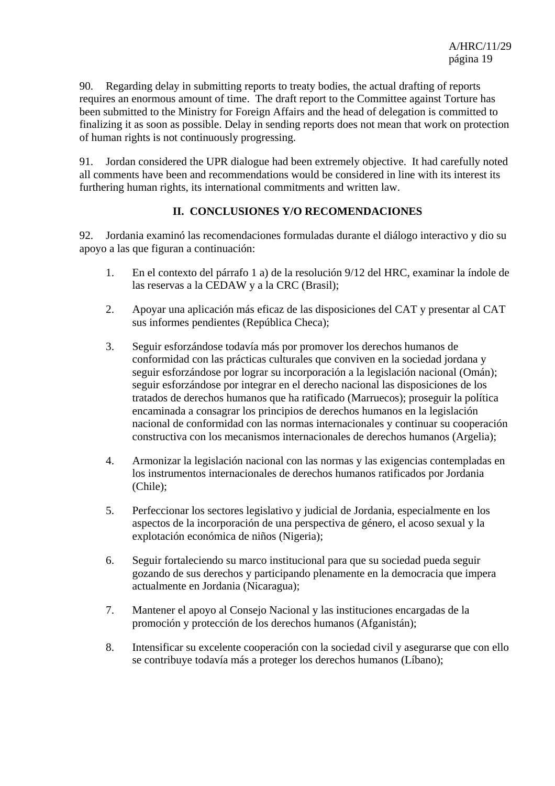90. Regarding delay in submitting reports to treaty bodies, the actual drafting of reports requires an enormous amount of time. The draft report to the Committee against Torture has been submitted to the Ministry for Foreign Affairs and the head of delegation is committed to finalizing it as soon as possible. Delay in sending reports does not mean that work on protection of human rights is not continuously progressing.

91. Jordan considered the UPR dialogue had been extremely objective. It had carefully noted all comments have been and recommendations would be considered in line with its interest its furthering human rights, its international commitments and written law.

#### **II. CONCLUSIONES Y/O RECOMENDACIONES**

92. Jordania examinó las recomendaciones formuladas durante el diálogo interactivo y dio su apoyo a las que figuran a continuación:

- 1. En el contexto del párrafo 1 a) de la resolución 9/12 del HRC, examinar la índole de las reservas a la CEDAW y a la CRC (Brasil);
- 2. Apoyar una aplicación más eficaz de las disposiciones del CAT y presentar al CAT sus informes pendientes (República Checa);
- 3. Seguir esforzándose todavía más por promover los derechos humanos de conformidad con las prácticas culturales que conviven en la sociedad jordana y seguir esforzándose por lograr su incorporación a la legislación nacional (Omán); seguir esforzándose por integrar en el derecho nacional las disposiciones de los tratados de derechos humanos que ha ratificado (Marruecos); proseguir la política encaminada a consagrar los principios de derechos humanos en la legislación nacional de conformidad con las normas internacionales y continuar su cooperación constructiva con los mecanismos internacionales de derechos humanos (Argelia);
- 4. Armonizar la legislación nacional con las normas y las exigencias contempladas en los instrumentos internacionales de derechos humanos ratificados por Jordania (Chile);
- 5. Perfeccionar los sectores legislativo y judicial de Jordania, especialmente en los aspectos de la incorporación de una perspectiva de género, el acoso sexual y la explotación económica de niños (Nigeria);
- 6. Seguir fortaleciendo su marco institucional para que su sociedad pueda seguir gozando de sus derechos y participando plenamente en la democracia que impera actualmente en Jordania (Nicaragua);
- 7. Mantener el apoyo al Consejo Nacional y las instituciones encargadas de la promoción y protección de los derechos humanos (Afganistán);
- 8. Intensificar su excelente cooperación con la sociedad civil y asegurarse que con ello se contribuye todavía más a proteger los derechos humanos (Líbano);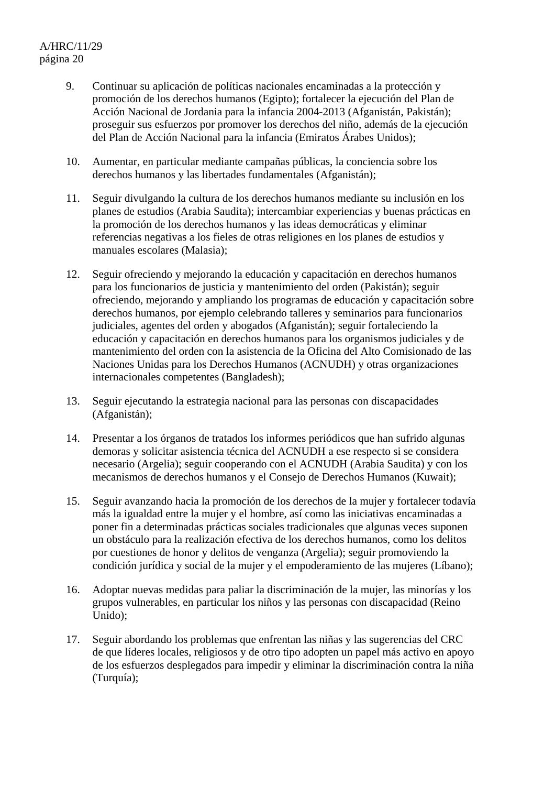- 9. Continuar su aplicación de políticas nacionales encaminadas a la protección y promoción de los derechos humanos (Egipto); fortalecer la ejecución del Plan de Acción Nacional de Jordania para la infancia 2004-2013 (Afganistán, Pakistán); proseguir sus esfuerzos por promover los derechos del niño, además de la ejecución del Plan de Acción Nacional para la infancia (Emiratos Árabes Unidos);
- 10. Aumentar, en particular mediante campañas públicas, la conciencia sobre los derechos humanos y las libertades fundamentales (Afganistán);
- 11. Seguir divulgando la cultura de los derechos humanos mediante su inclusión en los planes de estudios (Arabia Saudita); intercambiar experiencias y buenas prácticas en la promoción de los derechos humanos y las ideas democráticas y eliminar referencias negativas a los fieles de otras religiones en los planes de estudios y manuales escolares (Malasia);
- 12. Seguir ofreciendo y mejorando la educación y capacitación en derechos humanos para los funcionarios de justicia y mantenimiento del orden (Pakistán); seguir ofreciendo, mejorando y ampliando los programas de educación y capacitación sobre derechos humanos, por ejemplo celebrando talleres y seminarios para funcionarios judiciales, agentes del orden y abogados (Afganistán); seguir fortaleciendo la educación y capacitación en derechos humanos para los organismos judiciales y de mantenimiento del orden con la asistencia de la Oficina del Alto Comisionado de las Naciones Unidas para los Derechos Humanos (ACNUDH) y otras organizaciones internacionales competentes (Bangladesh);
- 13. Seguir ejecutando la estrategia nacional para las personas con discapacidades (Afganistán);
- 14. Presentar a los órganos de tratados los informes periódicos que han sufrido algunas demoras y solicitar asistencia técnica del ACNUDH a ese respecto si se considera necesario (Argelia); seguir cooperando con el ACNUDH (Arabia Saudita) y con los mecanismos de derechos humanos y el Consejo de Derechos Humanos (Kuwait);
- 15. Seguir avanzando hacia la promoción de los derechos de la mujer y fortalecer todavía más la igualdad entre la mujer y el hombre, así como las iniciativas encaminadas a poner fin a determinadas prácticas sociales tradicionales que algunas veces suponen un obstáculo para la realización efectiva de los derechos humanos, como los delitos por cuestiones de honor y delitos de venganza (Argelia); seguir promoviendo la condición jurídica y social de la mujer y el empoderamiento de las mujeres (Líbano);
- 16. Adoptar nuevas medidas para paliar la discriminación de la mujer, las minorías y los grupos vulnerables, en particular los niños y las personas con discapacidad (Reino Unido);
- 17. Seguir abordando los problemas que enfrentan las niñas y las sugerencias del CRC de que líderes locales, religiosos y de otro tipo adopten un papel más activo en apoyo de los esfuerzos desplegados para impedir y eliminar la discriminación contra la niña (Turquía);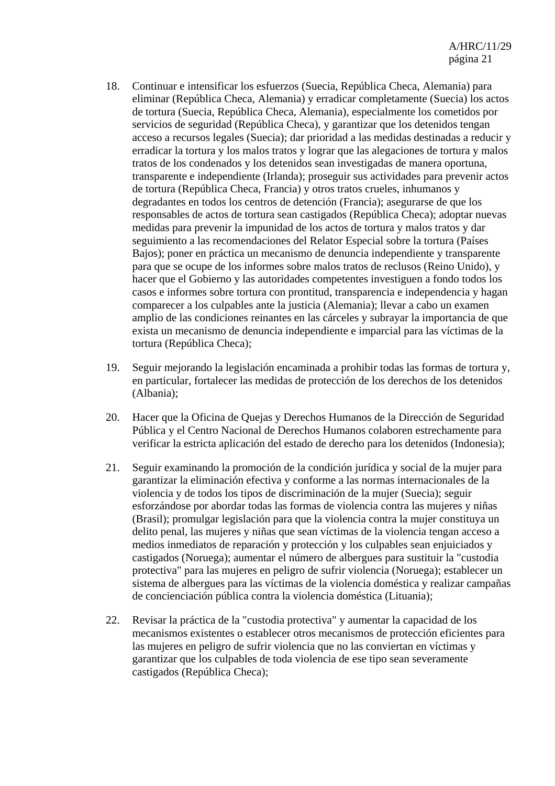- 18. Continuar e intensificar los esfuerzos (Suecia, República Checa, Alemania) para eliminar (República Checa, Alemania) y erradicar completamente (Suecia) los actos de tortura (Suecia, República Checa, Alemania), especialmente los cometidos por servicios de seguridad (República Checa), y garantizar que los detenidos tengan acceso a recursos legales (Suecia); dar prioridad a las medidas destinadas a reducir y erradicar la tortura y los malos tratos y lograr que las alegaciones de tortura y malos tratos de los condenados y los detenidos sean investigadas de manera oportuna, transparente e independiente (Irlanda); proseguir sus actividades para prevenir actos de tortura (República Checa, Francia) y otros tratos crueles, inhumanos y degradantes en todos los centros de detención (Francia); asegurarse de que los responsables de actos de tortura sean castigados (República Checa); adoptar nuevas medidas para prevenir la impunidad de los actos de tortura y malos tratos y dar seguimiento a las recomendaciones del Relator Especial sobre la tortura (Países Bajos); poner en práctica un mecanismo de denuncia independiente y transparente para que se ocupe de los informes sobre malos tratos de reclusos (Reino Unido), y hacer que el Gobierno y las autoridades competentes investiguen a fondo todos los casos e informes sobre tortura con prontitud, transparencia e independencia y hagan comparecer a los culpables ante la justicia (Alemania); llevar a cabo un examen amplio de las condiciones reinantes en las cárceles y subrayar la importancia de que exista un mecanismo de denuncia independiente e imparcial para las víctimas de la tortura (República Checa);
- 19. Seguir mejorando la legislación encaminada a prohibir todas las formas de tortura y, en particular, fortalecer las medidas de protección de los derechos de los detenidos (Albania);
- 20. Hacer que la Oficina de Quejas y Derechos Humanos de la Dirección de Seguridad Pública y el Centro Nacional de Derechos Humanos colaboren estrechamente para verificar la estricta aplicación del estado de derecho para los detenidos (Indonesia);
- 21. Seguir examinando la promoción de la condición jurídica y social de la mujer para garantizar la eliminación efectiva y conforme a las normas internacionales de la violencia y de todos los tipos de discriminación de la mujer (Suecia); seguir esforzándose por abordar todas las formas de violencia contra las mujeres y niñas (Brasil); promulgar legislación para que la violencia contra la mujer constituya un delito penal, las mujeres y niñas que sean víctimas de la violencia tengan acceso a medios inmediatos de reparación y protección y los culpables sean enjuiciados y castigados (Noruega); aumentar el número de albergues para sustituir la "custodia protectiva" para las mujeres en peligro de sufrir violencia (Noruega); establecer un sistema de albergues para las víctimas de la violencia doméstica y realizar campañas de concienciación pública contra la violencia doméstica (Lituania);
- 22. Revisar la práctica de la "custodia protectiva" y aumentar la capacidad de los mecanismos existentes o establecer otros mecanismos de protección eficientes para las mujeres en peligro de sufrir violencia que no las conviertan en víctimas y garantizar que los culpables de toda violencia de ese tipo sean severamente castigados (República Checa);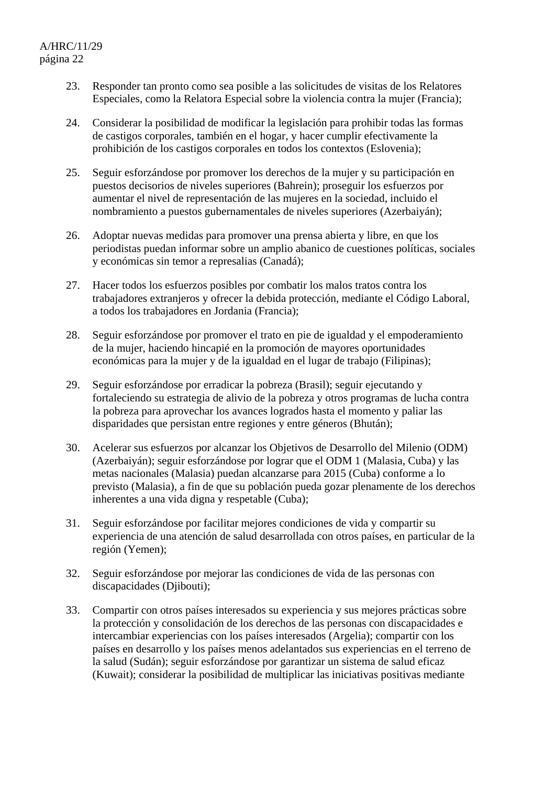- 23. Responder tan pronto como sea posible a las solicitudes de visitas de los Relatores Especiales, como la Relatora Especial sobre la violencia contra la mujer (Francia);
- 24. Considerar la posibilidad de modificar la legislación para prohibir todas las formas de castigos corporales, también en el hogar, y hacer cumplir efectivamente la prohibición de los castigos corporales en todos los contextos (Eslovenia);
- 25. Seguir esforzándose por promover los derechos de la mujer y su participación en puestos decisorios de niveles superiores (Bahrein); proseguir los esfuerzos por aumentar el nivel de representación de las mujeres en la sociedad, incluido el nombramiento a puestos gubernamentales de niveles superiores (Azerbaiyán);
- 26. Adoptar nuevas medidas para promover una prensa abierta y libre, en que los periodistas puedan informar sobre un amplio abanico de cuestiones políticas, sociales y económicas sin temor a represalias (Canadá);
- 27. Hacer todos los esfuerzos posibles por combatir los malos tratos contra los trabajadores extranjeros y ofrecer la debida protección, mediante el Código Laboral, a todos los trabajadores en Jordania (Francia);
- 28. Seguir esforzándose por promover el trato en pie de igualdad y el empoderamiento de la mujer, haciendo hincapié en la promoción de mayores oportunidades económicas para la mujer y de la igualdad en el lugar de trabajo (Filipinas);
- 29. Seguir esforzándose por erradicar la pobreza (Brasil); seguir ejecutando y fortaleciendo su estrategia de alivio de la pobreza y otros programas de lucha contra la pobreza para aprovechar los avances logrados hasta el momento y paliar las disparidades que persistan entre regiones y entre géneros (Bhután);
- 30. Acelerar sus esfuerzos por alcanzar los Objetivos de Desarrollo del Milenio (ODM) (Azerbaiyán); seguir esforzándose por lograr que el ODM 1 (Malasia, Cuba) y las metas nacionales (Malasia) puedan alcanzarse para 2015 (Cuba) conforme a lo previsto (Malasia), a fin de que su población pueda gozar plenamente de los derechos inherentes a una vida digna y respetable (Cuba);
- 31. Seguir esforzándose por facilitar mejores condiciones de vida y compartir su experiencia de una atención de salud desarrollada con otros países, en particular de la región (Yemen);
- 32. Seguir esforzándose por mejorar las condiciones de vida de las personas con discapacidades (Djibouti);
- 33. Compartir con otros países interesados su experiencia y sus mejores prácticas sobre la protección y consolidación de los derechos de las personas con discapacidades e intercambiar experiencias con los países interesados (Argelia); compartir con los países en desarrollo y los países menos adelantados sus experiencias en el terreno de la salud (Sudán); seguir esforzándose por garantizar un sistema de salud eficaz (Kuwait); considerar la posibilidad de multiplicar las iniciativas positivas mediante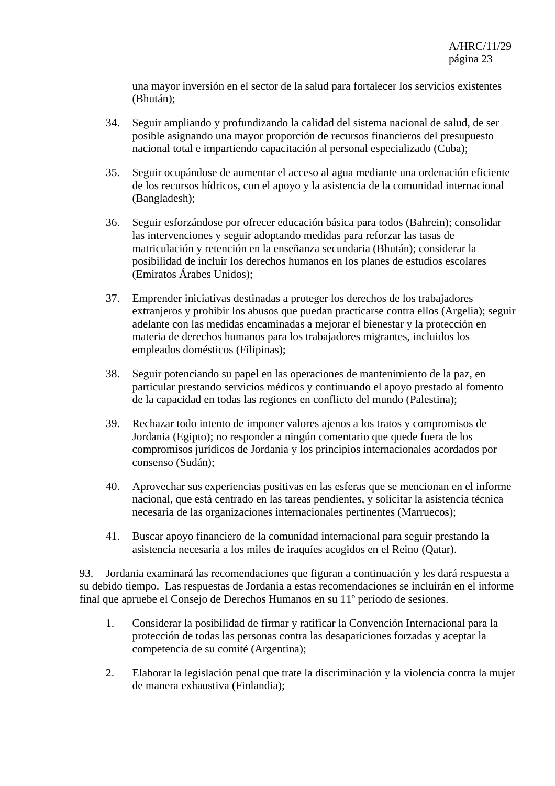una mayor inversión en el sector de la salud para fortalecer los servicios existentes (Bhután);

- 34. Seguir ampliando y profundizando la calidad del sistema nacional de salud, de ser posible asignando una mayor proporción de recursos financieros del presupuesto nacional total e impartiendo capacitación al personal especializado (Cuba);
- 35. Seguir ocupándose de aumentar el acceso al agua mediante una ordenación eficiente de los recursos hídricos, con el apoyo y la asistencia de la comunidad internacional (Bangladesh);
- 36. Seguir esforzándose por ofrecer educación básica para todos (Bahrein); consolidar las intervenciones y seguir adoptando medidas para reforzar las tasas de matriculación y retención en la enseñanza secundaria (Bhután); considerar la posibilidad de incluir los derechos humanos en los planes de estudios escolares (Emiratos Árabes Unidos);
- 37. Emprender iniciativas destinadas a proteger los derechos de los trabajadores extranjeros y prohibir los abusos que puedan practicarse contra ellos (Argelia); seguir adelante con las medidas encaminadas a mejorar el bienestar y la protección en materia de derechos humanos para los trabajadores migrantes, incluidos los empleados domésticos (Filipinas);
- 38. Seguir potenciando su papel en las operaciones de mantenimiento de la paz, en particular prestando servicios médicos y continuando el apoyo prestado al fomento de la capacidad en todas las regiones en conflicto del mundo (Palestina);
- 39. Rechazar todo intento de imponer valores ajenos a los tratos y compromisos de Jordania (Egipto); no responder a ningún comentario que quede fuera de los compromisos jurídicos de Jordania y los principios internacionales acordados por consenso (Sudán);
- 40. Aprovechar sus experiencias positivas en las esferas que se mencionan en el informe nacional, que está centrado en las tareas pendientes, y solicitar la asistencia técnica necesaria de las organizaciones internacionales pertinentes (Marruecos);
- 41. Buscar apoyo financiero de la comunidad internacional para seguir prestando la asistencia necesaria a los miles de iraquíes acogidos en el Reino (Qatar).

93. Jordania examinará las recomendaciones que figuran a continuación y les dará respuesta a su debido tiempo. Las respuestas de Jordania a estas recomendaciones se incluirán en el informe final que apruebe el Consejo de Derechos Humanos en su 11º período de sesiones.

- 1. Considerar la posibilidad de firmar y ratificar la Convención Internacional para la protección de todas las personas contra las desapariciones forzadas y aceptar la competencia de su comité (Argentina);
- 2. Elaborar la legislación penal que trate la discriminación y la violencia contra la mujer de manera exhaustiva (Finlandia);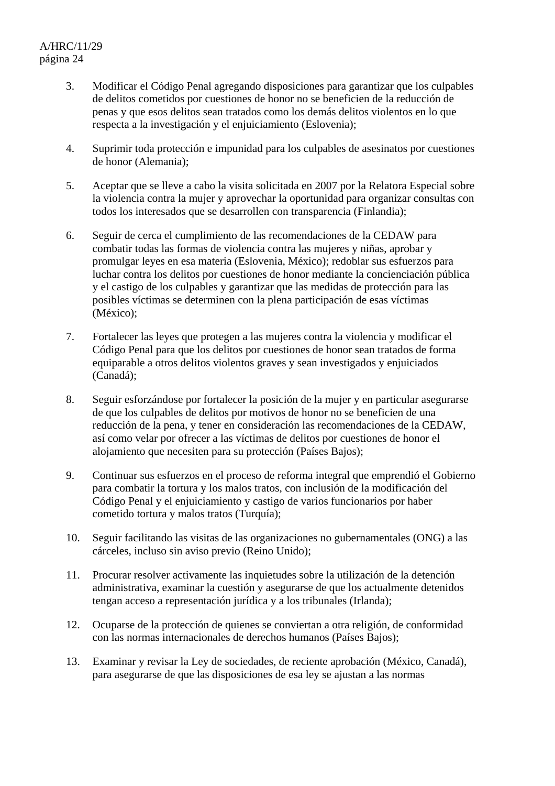- 3. Modificar el Código Penal agregando disposiciones para garantizar que los culpables de delitos cometidos por cuestiones de honor no se beneficien de la reducción de penas y que esos delitos sean tratados como los demás delitos violentos en lo que respecta a la investigación y el enjuiciamiento (Eslovenia);
- 4. Suprimir toda protección e impunidad para los culpables de asesinatos por cuestiones de honor (Alemania);
- 5. Aceptar que se lleve a cabo la visita solicitada en 2007 por la Relatora Especial sobre la violencia contra la mujer y aprovechar la oportunidad para organizar consultas con todos los interesados que se desarrollen con transparencia (Finlandia);
- 6. Seguir de cerca el cumplimiento de las recomendaciones de la CEDAW para combatir todas las formas de violencia contra las mujeres y niñas, aprobar y promulgar leyes en esa materia (Eslovenia, México); redoblar sus esfuerzos para luchar contra los delitos por cuestiones de honor mediante la concienciación pública y el castigo de los culpables y garantizar que las medidas de protección para las posibles víctimas se determinen con la plena participación de esas víctimas (México);
- 7. Fortalecer las leyes que protegen a las mujeres contra la violencia y modificar el Código Penal para que los delitos por cuestiones de honor sean tratados de forma equiparable a otros delitos violentos graves y sean investigados y enjuiciados (Canadá);
- 8. Seguir esforzándose por fortalecer la posición de la mujer y en particular asegurarse de que los culpables de delitos por motivos de honor no se beneficien de una reducción de la pena, y tener en consideración las recomendaciones de la CEDAW, así como velar por ofrecer a las víctimas de delitos por cuestiones de honor el alojamiento que necesiten para su protección (Países Bajos);
- 9. Continuar sus esfuerzos en el proceso de reforma integral que emprendió el Gobierno para combatir la tortura y los malos tratos, con inclusión de la modificación del Código Penal y el enjuiciamiento y castigo de varios funcionarios por haber cometido tortura y malos tratos (Turquía);
- 10. Seguir facilitando las visitas de las organizaciones no gubernamentales (ONG) a las cárceles, incluso sin aviso previo (Reino Unido);
- 11. Procurar resolver activamente las inquietudes sobre la utilización de la detención administrativa, examinar la cuestión y asegurarse de que los actualmente detenidos tengan acceso a representación jurídica y a los tribunales (Irlanda);
- 12. Ocuparse de la protección de quienes se conviertan a otra religión, de conformidad con las normas internacionales de derechos humanos (Países Bajos);
- 13. Examinar y revisar la Ley de sociedades, de reciente aprobación (México, Canadá), para asegurarse de que las disposiciones de esa ley se ajustan a las normas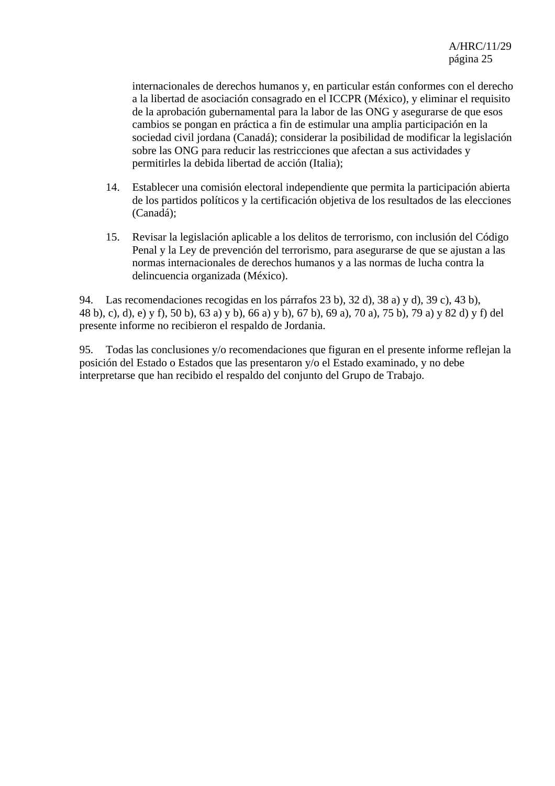internacionales de derechos humanos y, en particular están conformes con el derecho a la libertad de asociación consagrado en el ICCPR (México), y eliminar el requisito de la aprobación gubernamental para la labor de las ONG y asegurarse de que esos cambios se pongan en práctica a fin de estimular una amplia participación en la sociedad civil jordana (Canadá); considerar la posibilidad de modificar la legislación sobre las ONG para reducir las restricciones que afectan a sus actividades y permitirles la debida libertad de acción (Italia);

- 14. Establecer una comisión electoral independiente que permita la participación abierta de los partidos políticos y la certificación objetiva de los resultados de las elecciones (Canadá);
- 15. Revisar la legislación aplicable a los delitos de terrorismo, con inclusión del Código Penal y la Ley de prevención del terrorismo, para asegurarse de que se ajustan a las normas internacionales de derechos humanos y a las normas de lucha contra la delincuencia organizada (México).

94. Las recomendaciones recogidas en los párrafos 23 b), 32 d), 38 a) y d), 39 c), 43 b), 48 b), c), d), e) y f), 50 b), 63 a) y b), 66 a) y b), 67 b), 69 a), 70 a), 75 b), 79 a) y 82 d) y f) del presente informe no recibieron el respaldo de Jordania.

95. Todas las conclusiones y/o recomendaciones que figuran en el presente informe reflejan la posición del Estado o Estados que las presentaron y/o el Estado examinado, y no debe interpretarse que han recibido el respaldo del conjunto del Grupo de Trabajo.